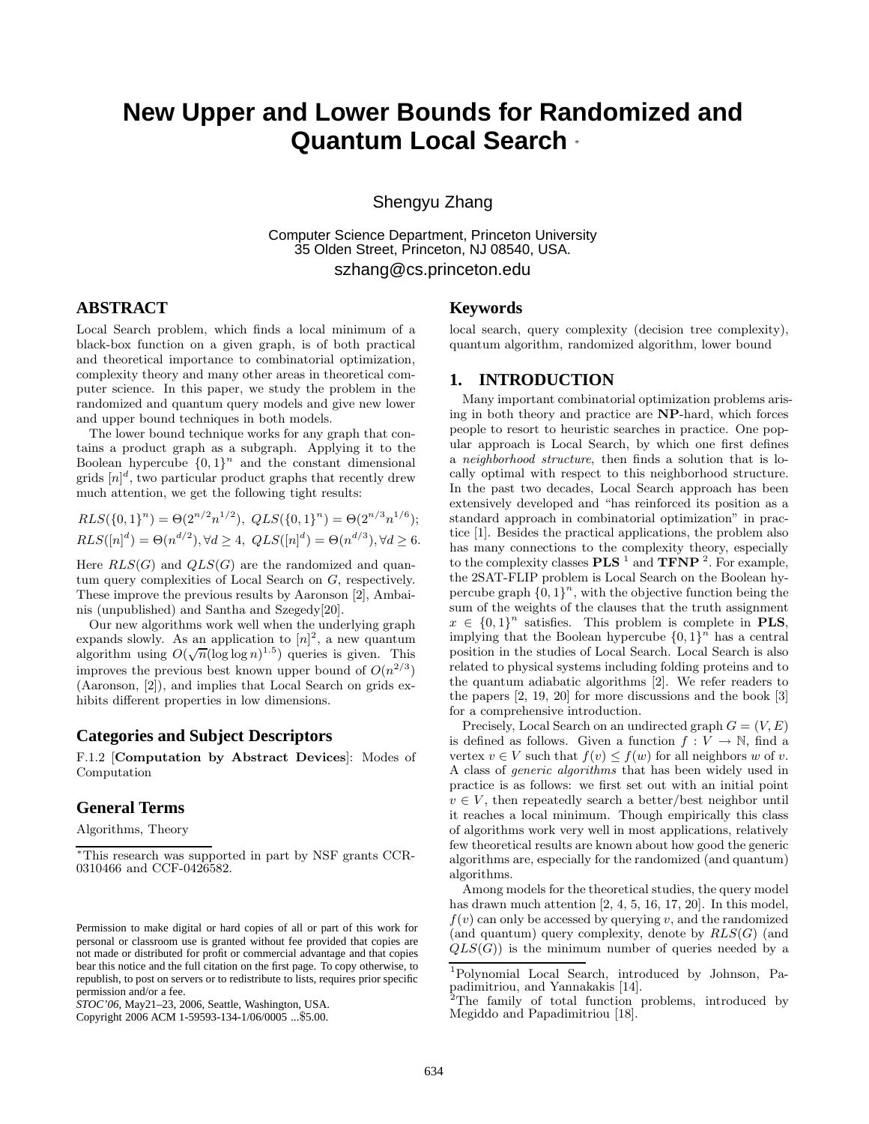# **New Upper and Lower Bounds for Randomized and Quantum Local Search** <sup>∗</sup>

Shengyu Zhang

Computer Science Department, Princeton University 35 Olden Street, Princeton, NJ 08540, USA. szhang@cs.princeton.edu

## **ABSTRACT**

Local Search problem, which finds a local minimum of a black-box function on a given graph, is of both practical and theoretical importance to combinatorial optimization, complexity theory and many other areas in theoretical computer science. In this paper, we study the problem in the randomized and quantum query models and give new lower and upper bound techniques in both models.

The lower bound technique works for any graph that contains a product graph as a subgraph. Applying it to the Boolean hypercube  ${0,1}^n$  and the constant dimensional grids  $[n]^d$ , two particular product graphs that recently drew much attention, we get the following tight results:

$$
RLS(\{0,1\}^n) = \Theta(2^{n/2}n^{1/2}), \ QLS(\{0,1\}^n) = \Theta(2^{n/3}n^{1/6});
$$
  
\n
$$
RLS([n]^d) = \Theta(n^{d/2}), \forall d \ge 4, \ QLS([n]^d) = \Theta(n^{d/3}), \forall d \ge 6.
$$

Here  $RLS(G)$  and  $QLS(G)$  are the randomized and quantum query complexities of Local Search on G, respectively. These improve the previous results by Aaronson [2], Ambainis (unpublished) and Santha and Szegedy[20].

Our new algorithms work well when the underlying graph expands slowly. As an application to  $[n]^2$ , a new quantum expands slowly. As an application to  $[n]$ , a new quantum<br>algorithm using  $O(\sqrt{n}(\log \log n)^{1.5})$  queries is given. This improves the previous best known upper bound of  $O(n^{2/3})$ (Aaronson, [2]), and implies that Local Search on grids exhibits different properties in low dimensions.

## **Categories and Subject Descriptors**

F.1.2 [**Computation by Abstract Devices**]: Modes of Computation

## **General Terms**

Algorithms, Theory

#### **Keywords**

local search, query complexity (decision tree complexity), quantum algorithm, randomized algorithm, lower bound

## **1. INTRODUCTION**

Many important combinatorial optimization problems arising in both theory and practice are **NP**-hard, which forces people to resort to heuristic searches in practice. One popular approach is Local Search, by which one first defines a neighborhood structure, then finds a solution that is locally optimal with respect to this neighborhood structure. In the past two decades, Local Search approach has been extensively developed and "has reinforced its position as a standard approach in combinatorial optimization" in practice [1]. Besides the practical applications, the problem also has many connections to the complexity theory, especially to the complexity classes **PLS** <sup>1</sup> and **TFNP** <sup>2</sup>. For example, the 2SAT-FLIP problem is Local Search on the Boolean hypercube graph  $\{0, 1\}^n$ , with the objective function being the sum of the weights of the clauses that the truth assignment  $x \in \{0,1\}^n$  satisfies. This problem is complete in **PLS**, implying that the Boolean hypercube  $\{0, 1\}^n$  has a central position in the studies of Local Search. Local Search is also related to physical systems including folding proteins and to the quantum adiabatic algorithms [2]. We refer readers to the papers [2, 19, 20] for more discussions and the book [3] for a comprehensive introduction.

Precisely, Local Search on an undirected graph  $G = (V, E)$ is defined as follows. Given a function  $f: V \to \mathbb{N}$ , find a vertex  $v \in V$  such that  $f(v) \leq f(w)$  for all neighbors w of v. A class of generic algorithms that has been widely used in practice is as follows: we first set out with an initial point  $v \in V$ , then repeatedly search a better/best neighbor until it reaches a local minimum. Though empirically this class of algorithms work very well in most applications, relatively few theoretical results are known about how good the generic algorithms are, especially for the randomized (and quantum) algorithms.

Among models for the theoretical studies, the query model has drawn much attention [2, 4, 5, 16, 17, 20]. In this model,  $f(v)$  can only be accessed by querying v, and the randomized (and quantum) query complexity, denote by  $RLS(G)$  (and  $QLS(G)$  is the minimum number of queries needed by a

<sup>∗</sup>This research was supported in part by NSF grants CCR-0310466 and CCF-0426582.

Permission to make digital or hard copies of all or part of this work for personal or classroom use is granted without fee provided that copies are not made or distributed for profit or commercial advantage and that copies bear this notice and the full citation on the first page. To copy otherwise, to republish, to post on servers or to redistribute to lists, requires prior specific permission and/or a fee.

*STOC'06,* May21–23, 2006, Seattle, Washington, USA.

Copyright 2006 ACM 1-59593-134-1/06/0005 ...\$5.00.

<sup>1</sup>Polynomial Local Search, introduced by Johnson, Papadimitriou, and Yannakakis [14].

<sup>&</sup>lt;sup>2</sup>The family of total function problems, introduced by Megiddo and Papadimitriou [18].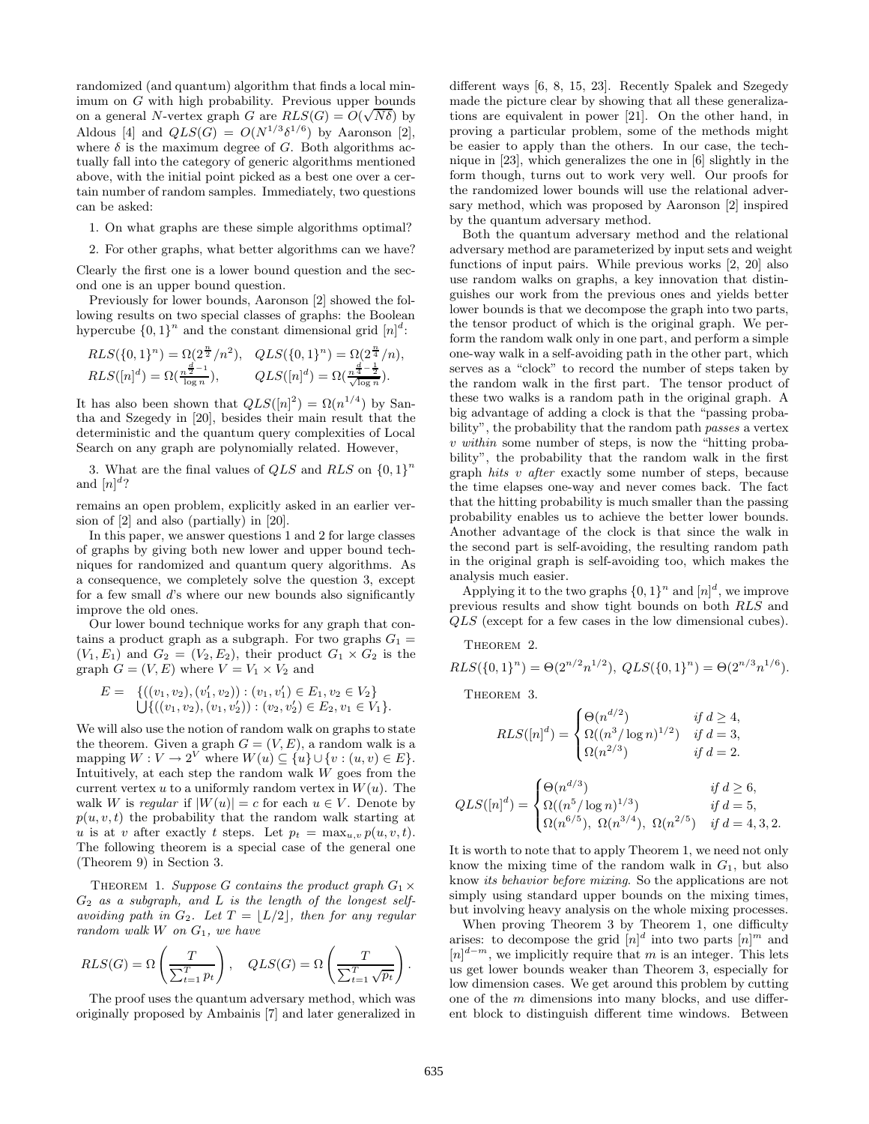randomized (and quantum) algorithm that finds a local minimum on G with high probability. Previous upper bounds imum on G with high probability. Previous upper bounds<br>on a general N-vertex graph G are  $RLS(G) = O(\sqrt{N\delta})$  by Aldous [4] and  $QLS(G) = O(N^{1/3}\delta^{1/6})$  by Aaronson [2], where  $\delta$  is the maximum degree of G. Both algorithms actually fall into the category of generic algorithms mentioned above, with the initial point picked as a best one over a certain number of random samples. Immediately, two questions can be asked:

1. On what graphs are these simple algorithms optimal?

2. For other graphs, what better algorithms can we have?

Clearly the first one is a lower bound question and the second one is an upper bound question.

Previously for lower bounds, Aaronson [2] showed the following results on two special classes of graphs: the Boolean hypercube  $\{0,1\}^n$  and the constant dimensional grid  $[n]^d$ :

$$
RLS(\{0,1\}^n) = \Omega(2^{\frac{n}{2}}/n^2), \quad QLS(\{0,1\}^n) = \Omega(2^{\frac{n}{4}}/n),
$$
  
\n
$$
RLS([n]^d) = \Omega(\frac{n^{\frac{d}{2}-1}}{\log n}), \qquad QLS([n]^d) = \Omega(\frac{n^{\frac{d}{4}-\frac{1}{2}}}{\sqrt{\log n}}).
$$

It has also been shown that  $QLS([n]^2) = \Omega(n^{1/4})$  by Santha and Szegedy in [20], besides their main result that the deterministic and the quantum query complexities of Local Search on any graph are polynomially related. However,

3. What are the final values of  $QLS$  and  $RLS$  on  $\{0,1\}^n$ and  $[n]^d$ ?

remains an open problem, explicitly asked in an earlier version of [2] and also (partially) in [20].

In this paper, we answer questions 1 and 2 for large classes of graphs by giving both new lower and upper bound techniques for randomized and quantum query algorithms. As a consequence, we completely solve the question 3, except for a few small d's where our new bounds also significantly improve the old ones.

Our lower bound technique works for any graph that contains a product graph as a subgraph. For two graphs  $G_1 =$  $(V_1, E_1)$  and  $G_2 = (V_2, E_2)$ , their product  $G_1 \times G_2$  is the graph  $G = (V, E)$  where  $V = V_1 \times V_2$  and

$$
E = \{((v_1, v_2), (v'_1, v_2)) : (v_1, v'_1) \in E_1, v_2 \in V_2\}
$$
  

$$
\bigcup \{((v_1, v_2), (v_1, v'_2)) : (v_2, v'_2) \in E_2, v_1 \in V_1\}.
$$

We will also use the notion of random walk on graphs to state the theorem. Given a graph  $G = (V, E)$ , a random walk is a mapping  $W : V \to 2^V$  where  $W(u) \subseteq \{u\} \cup \{v : (u, v) \in E\}$ . Intuitively, at each step the random walk  $W$  goes from the current vertex u to a uniformly random vertex in  $W(u)$ . The walk W is regular if  $|W(u)| = c$  for each  $u \in V$ . Denote by  $p(u, v, t)$  the probability that the random walk starting at u is at v after exactly t steps. Let  $p_t = \max_{u,v} p(u,v,t)$ . The following theorem is a special case of the general one (Theorem 9) in Section 3.

THEOREM 1. Suppose G contains the product graph  $G_1 \times$  $G_2$  as a subgraph, and  $L$  is the length of the longest selfavoiding path in  $G_2$ . Let  $T = \lfloor L/2 \rfloor$ , then for any regular random walk  $W$  on  $G_1$ , we have

$$
RLS(G) = \Omega\left(\frac{T}{\sum_{t=1}^{T} p_t}\right), \quad QLS(G) = \Omega\left(\frac{T}{\sum_{t=1}^{T} \sqrt{p_t}}\right).
$$

The proof uses the quantum adversary method, which was originally proposed by Ambainis [7] and later generalized in

different ways [6, 8, 15, 23]. Recently Spalek and Szegedy made the picture clear by showing that all these generalizations are equivalent in power [21]. On the other hand, in proving a particular problem, some of the methods might be easier to apply than the others. In our case, the technique in [23], which generalizes the one in [6] slightly in the form though, turns out to work very well. Our proofs for the randomized lower bounds will use the relational adversary method, which was proposed by Aaronson [2] inspired by the quantum adversary method.

Both the quantum adversary method and the relational adversary method are parameterized by input sets and weight functions of input pairs. While previous works [2, 20] also use random walks on graphs, a key innovation that distinguishes our work from the previous ones and yields better lower bounds is that we decompose the graph into two parts, the tensor product of which is the original graph. We perform the random walk only in one part, and perform a simple one-way walk in a self-avoiding path in the other part, which serves as a "clock" to record the number of steps taken by the random walk in the first part. The tensor product of these two walks is a random path in the original graph. A big advantage of adding a clock is that the "passing probability", the probability that the random path passes a vertex v within some number of steps, is now the "hitting probability", the probability that the random walk in the first graph hits v after exactly some number of steps, because the time elapses one-way and never comes back. The fact that the hitting probability is much smaller than the passing probability enables us to achieve the better lower bounds. Another advantage of the clock is that since the walk in the second part is self-avoiding, the resulting random path in the original graph is self-avoiding too, which makes the analysis much easier.

Applying it to the two graphs  $\{0,1\}^n$  and  $[n]^d$ , we improve previous results and show tight bounds on both RLS and QLS (except for a few cases in the low dimensional cubes).

THEOREM 2.

$$
RLS(\{0,1\}^n) = \Theta(2^{n/2}n^{1/2}), \ QLS(\{0,1\}^n) = \Theta(2^{n/3}n^{1/6}).
$$

THEOREM 3.

$$
RLS([n]^d) = \begin{cases} \Theta(n^{d/2}) & \text{if } d \ge 4, \\ \Omega((n^3/\log n)^{1/2}) & \text{if } d = 3, \\ \Omega(n^{2/3}) & \text{if } d = 2. \end{cases}
$$

$$
QLS([n]^d) = \begin{cases} \Theta(n^{d/3}) & \text{if } d \geq 6, \\ \Omega((n^5/\log n)^{1/3}) & \text{if } d = 5, \\ \Omega(n^{6/5}), \ \Omega(n^{3/4}), \ \Omega(n^{2/5}) & \text{if } d = 4, 3, 2. \end{cases}
$$

It is worth to note that to apply Theorem 1, we need not only know the mixing time of the random walk in  $G_1$ , but also know its behavior before mixing. So the applications are not simply using standard upper bounds on the mixing times, but involving heavy analysis on the whole mixing processes.

When proving Theorem 3 by Theorem 1, one difficulty arises: to decompose the grid  $[n]^d$  into two parts  $[n]^m$  and  $[n]^{d-m}$ , we implicitly require that m is an integer. This lets us get lower bounds weaker than Theorem 3, especially for low dimension cases. We get around this problem by cutting one of the m dimensions into many blocks, and use different block to distinguish different time windows. Between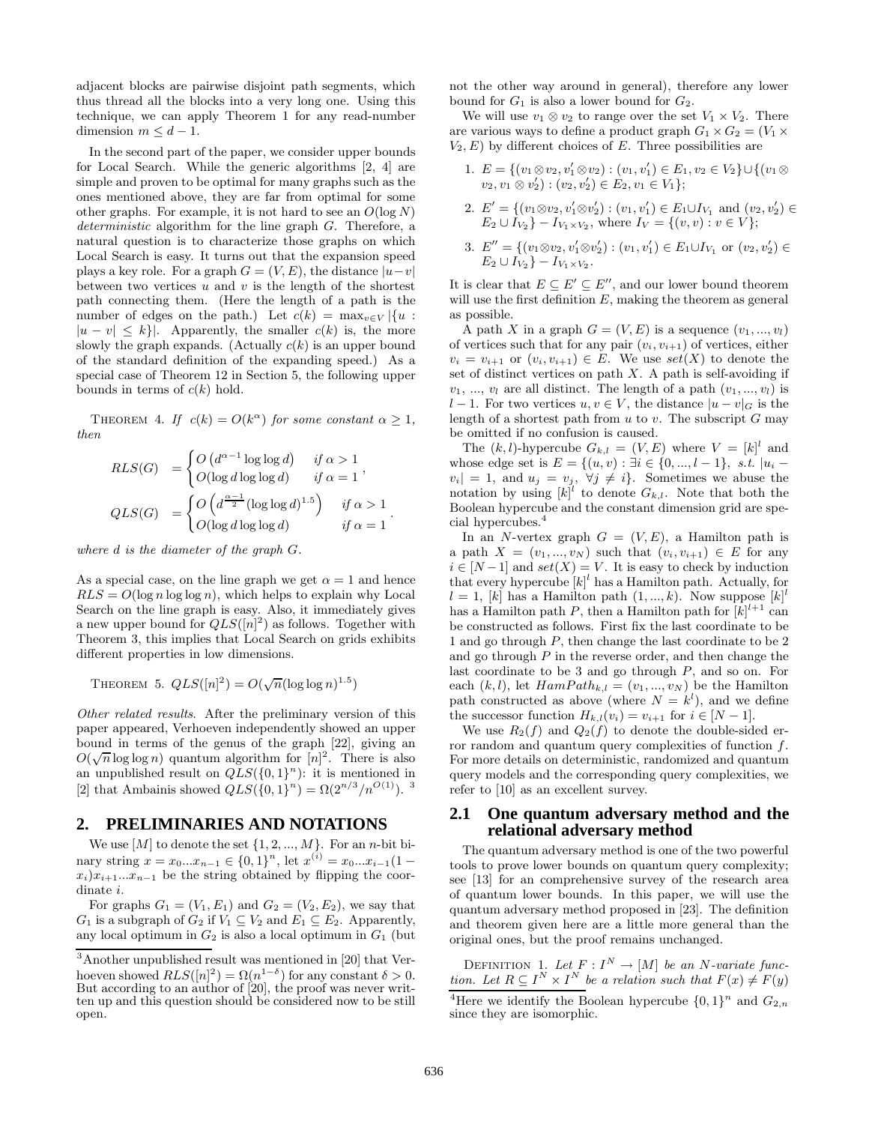adjacent blocks are pairwise disjoint path segments, which thus thread all the blocks into a very long one. Using this technique, we can apply Theorem 1 for any read-number dimension  $m \leq d - 1$ .

In the second part of the paper, we consider upper bounds for Local Search. While the generic algorithms [2, 4] are simple and proven to be optimal for many graphs such as the ones mentioned above, they are far from optimal for some other graphs. For example, it is not hard to see an  $O(\log N)$ deterministic algorithm for the line graph G. Therefore, a natural question is to characterize those graphs on which Local Search is easy. It turns out that the expansion speed plays a key role. For a graph  $G = (V, E)$ , the distance  $|u-v|$ between two vertices  $u$  and  $v$  is the length of the shortest path connecting them. (Here the length of a path is the number of edges on the path.) Let  $c(k) = \max_{v \in V} |\{u :$  $|u - v| \leq k$ . Apparently, the smaller  $c(k)$  is, the more slowly the graph expands. (Actually  $c(k)$  is an upper bound of the standard definition of the expanding speed.) As a special case of Theorem 12 in Section 5, the following upper bounds in terms of  $c(k)$  hold.

THEOREM 4. If  $c(k) = O(k^{\alpha})$  for some constant  $\alpha \geq 1$ , then

$$
RLS(G) = \begin{cases} O(d^{\alpha-1} \log \log d) & \text{if } \alpha > 1 \\ O(\log d \log \log d) & \text{if } \alpha = 1 \end{cases},
$$
  

$$
QLS(G) = \begin{cases} O\left(d^{\frac{\alpha-1}{2}} (\log \log d)^{1.5}\right) & \text{if } \alpha > 1 \\ O(\log d \log \log d) & \text{if } \alpha = 1 \end{cases}.
$$

where d is the diameter of the graph G.

As a special case, on the line graph we get  $\alpha = 1$  and hence  $RLS = O(\log n \log \log n)$ , which helps to explain why Local Search on the line graph is easy. Also, it immediately gives a new upper bound for  $QLS([n]^2)$  as follows. Together with Theorem 3, this implies that Local Search on grids exhibits different properties in low dimensions.

THEOREM 5.  $QLS([n]^2) = O(\sqrt{n}(\log \log n)^{1.5})$ 

Other related results. After the preliminary version of this paper appeared, Verhoeven independently showed an upper bound in terms of the genus of the graph [22], giving an bound in terms of the genus of the graph  $\lfloor 22 \rfloor$ , giving an  $O(\sqrt{n} \log \log n)$  quantum algorithm for  $[n]^2$ . There is also an unpublished result on  $QLS({0,1)}^n$ : it is mentioned in [2] that Ambainis showed  $QLS({0, 1}^n) = \Omega(2^{n/3}/n^{O(1)})$ .<sup>3</sup>

## **2. PRELIMINARIES AND NOTATIONS**

We use  $[M]$  to denote the set  $\{1, 2, ..., M\}$ . For an n-bit binary string  $x = x_0...x_{n-1} \in \{0,1\}^n$ , let  $x^{(i)} = x_0...x_{i-1}(1$  $x_i)x_{i+1}...x_{n-1}$  be the string obtained by flipping the coordinate i.

For graphs  $G_1 = (V_1, E_1)$  and  $G_2 = (V_2, E_2)$ , we say that  $G_1$  is a subgraph of  $G_2$  if  $V_1 \subseteq V_2$  and  $E_1 \subseteq E_2$ . Apparently, any local optimum in  $G_2$  is also a local optimum in  $G_1$  (but not the other way around in general), therefore any lower bound for  $G_1$  is also a lower bound for  $G_2$ .

We will use  $v_1 \otimes v_2$  to range over the set  $V_1 \times V_2$ . There are various ways to define a product graph  $G_1 \times G_2 = (V_1 \times$  $V_2, E$ ) by different choices of E. Three possibilities are

- 1.  $E = \{(v_1 \otimes v_2, v_1' \otimes v_2) : (v_1, v_1') \in E_1, v_2 \in V_2\} \cup \{(v_1 \otimes v_2) : (v_1 \otimes v_2') \in E_1\}$  $v_2, v_1 \otimes v_2') : (v_2, v_2') \in E_2, v_1 \in V_1$ ;
- 2.  $E' = \{(v_1 \otimes v_2, v'_1 \otimes v'_2) : (v_1, v'_1) \in E_1 \cup I_{V_1} \text{ and } (v_2, v'_2) \in$  $E_2 \cup I_{V_2} - I_{V_1 \times V_2}$ , where  $I_V = \{(v, v) : v \in V\};$
- 3.  $E'' = \{(v_1 \otimes v_2, v_1' \otimes v_2') : (v_1, v_1') \in E_1 \cup I_{V_1} \text{ or } (v_2, v_2') \in$  $E_2 \cup I_{V_2} - I_{V_1 \times V_2}$ .

It is clear that  $E \subseteq E' \subseteq E''$ , and our lower bound theorem will use the first definition  $E$ , making the theorem as general as possible.

A path X in a graph  $G = (V, E)$  is a sequence  $(v_1, ..., v_l)$ of vertices such that for any pair  $(v_i, v_{i+1})$  of vertices, either  $v_i = v_{i+1}$  or  $(v_i, v_{i+1}) \in E$ . We use  $set(X)$  to denote the set of distinct vertices on path  $X$ . A path is self-avoiding if  $v_1, ..., v_l$  are all distinct. The length of a path  $(v_1, ..., v_l)$  is l − 1. For two vertices  $u, v \in V$ , the distance  $|u - v|_G$  is the length of a shortest path from  $u$  to  $v$ . The subscript  $G$  may be omitted if no confusion is caused.

The  $(k, l)$ -hypercube  $G_{k,l} = (V, E)$  where  $V = [k]^l$  and whose edge set is  $E = \{(u, v) : \exists i \in \{0, ..., l-1\}, s.t. |u_i$  $v_i| = 1$ , and  $u_j = v_j$ ,  $\forall j \neq i$ . Sometimes we abuse the notation by using  $[k]^{l'}$  to denote  $G_{k,l}$ . Note that both the Boolean hypercube and the constant dimension grid are special hypercubes.<sup>4</sup>

In an N-vertex graph  $G = (V, E)$ , a Hamilton path is a path  $X = (v_1, ..., v_N)$  such that  $(v_i, v_{i+1}) \in E$  for any  $i \in [N-1]$  and  $set(X) = V$ . It is easy to check by induction that every hypercube  $[k]^l$  has a Hamilton path. Actually, for  $l = 1$ ,  $[k]$  has a Hamilton path  $(1, ..., k)$ . Now suppose  $[k]$ <sup>l</sup> has a Hamilton path P, then a Hamilton path for  $[k]^{l+1}$  can be constructed as follows. First fix the last coordinate to be 1 and go through P, then change the last coordinate to be 2 and go through  $P$  in the reverse order, and then change the last coordinate to be 3 and go through  $P$ , and so on. For each  $(k, l)$ , let  $HamPath_{k,l} = (v_1, ..., v_N)$  be the Hamilton path constructed as above (where  $N = k^{l}$ ), and we define the successor function  $H_{k,l}(v_i) = v_{i+1}$  for  $i \in [N-1]$ .

We use  $R_2(f)$  and  $Q_2(f)$  to denote the double-sided error random and quantum query complexities of function f. For more details on deterministic, randomized and quantum query models and the corresponding query complexities, we refer to [10] as an excellent survey.

## **2.1 One quantum adversary method and the relational adversary method**

The quantum adversary method is one of the two powerful tools to prove lower bounds on quantum query complexity; see [13] for an comprehensive survey of the research area of quantum lower bounds. In this paper, we will use the quantum adversary method proposed in [23]. The definition and theorem given here are a little more general than the original ones, but the proof remains unchanged.

DEFINITION 1. Let  $F: I^N \to [M]$  be an N-variate function. Let  $R \subseteq I^N \times I^N$  be a relation such that  $F(x) \neq F(y)$ 

<sup>3</sup>Another unpublished result was mentioned in [20] that Verhoeven showed  $RLS([n]^2) = \Omega(n^{1-\delta})$  for any constant  $\delta > 0$ . But according to an author of [20], the proof was never written up and this question should be considered now to be still open.

<sup>&</sup>lt;sup>4</sup>Here we identify the Boolean hypercube  $\{0,1\}^n$  and  $G_{2,n}$ since they are isomorphic.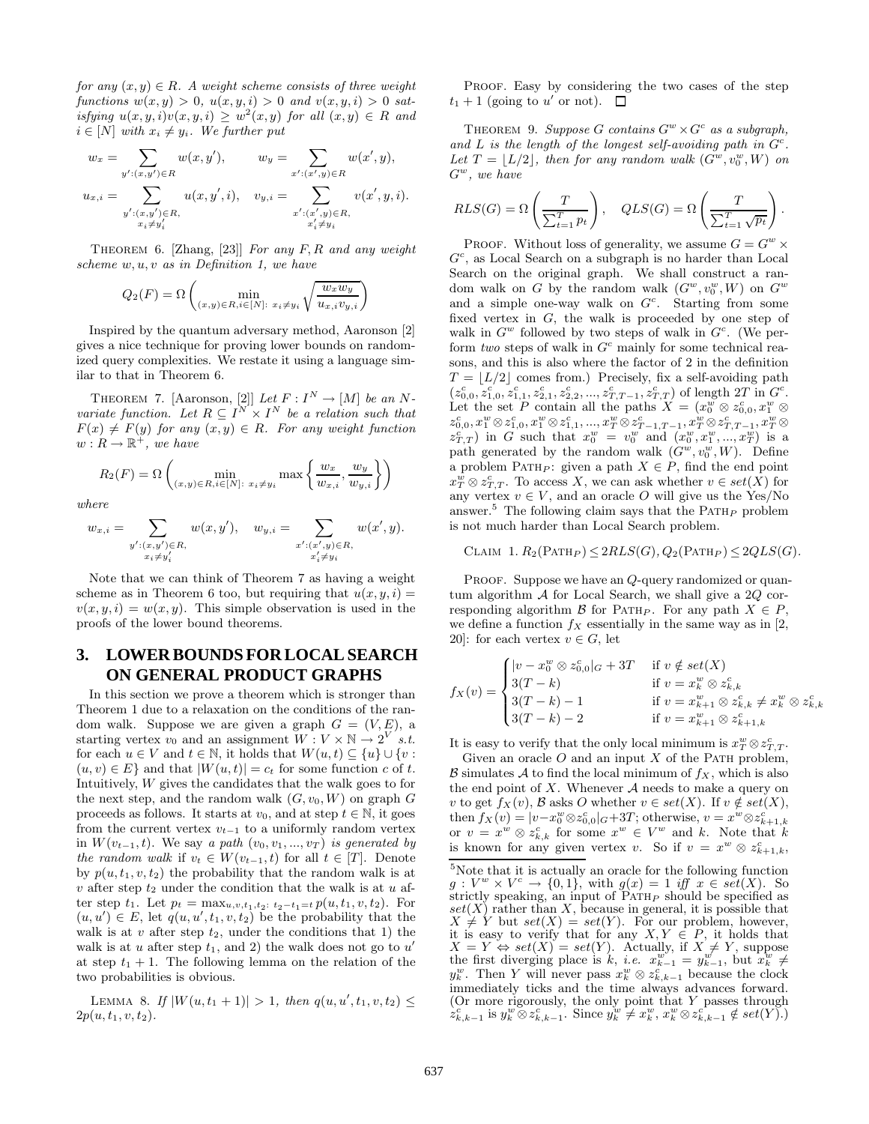for any  $(x, y) \in R$ . A weight scheme consists of three weight functions  $w(x, y) > 0$ ,  $u(x, y, i) > 0$  and  $v(x, y, i) > 0$  satisfying  $u(x, y, i)v(x, y, i) \geq w^2(x, y)$  for all  $(x, y) \in R$  and  $i \in [N]$  with  $x_i \neq y_i$ . We further put

$$
w_x = \sum_{y':(x,y') \in R} w(x,y'), \qquad w_y = \sum_{x':(x',y) \in R} w(x',y),
$$
  

$$
u_{x,i} = \sum_{\substack{y':(x,y') \in R, \\ x_i \neq y'_i}} u(x,y',i), \quad v_{y,i} = \sum_{\substack{x':(x',y) \in R, \\ x'_i \neq y_i}} v(x',y,i).
$$

THEOREM 6. [Zhang, [23]] For any F, R and any weight scheme  $w, u, v$  as in Definition 1, we have

$$
Q_2(F) = \Omega \left( \min_{(x,y) \in R, i \in [N]: \ x_i \neq y_i} \sqrt{\frac{w_x w_y}{u_{x,i} v_{y,i}}} \right)
$$

Inspired by the quantum adversary method, Aaronson [2] gives a nice technique for proving lower bounds on randomized query complexities. We restate it using a language similar to that in Theorem 6.

THEOREM 7. [Aaronson, [2]] Let  $F: I^N \to [M]$  be an Nvariate function. Let  $R \subseteq I^N \times I^N$  be a relation such that  $F(x) \neq F(y)$  for any  $(x, y) \in R$ . For any weight function  $w: R \to \mathbb{R}^+$ , we have

$$
R_2(F) = \Omega\left(\min_{(x,y)\in R, i\in[N]: \ x_i\neq y_i} \max\left\{\frac{w_x}{w_{x,i}}, \frac{w_y}{w_{y,i}}\right\}\right)
$$

where

$$
w_{x,i} = \sum_{\substack{y': (x,y') \in R, \\ x_i \neq y'_i}} w(x, y'), \quad w_{y,i} = \sum_{\substack{x': (x',y) \in R, \\ x'_i \neq y_i}} w(x', y).
$$

Note that we can think of Theorem 7 as having a weight scheme as in Theorem 6 too, but requiring that  $u(x, y, i) =$  $v(x, y, i) = w(x, y)$ . This simple observation is used in the proofs of the lower bound theorems.

## **3. LOWER BOUNDS FOR LOCAL SEARCH ON GENERAL PRODUCT GRAPHS**

In this section we prove a theorem which is stronger than Theorem 1 due to a relaxation on the conditions of the random walk. Suppose we are given a graph  $G = (V, E)$ , a starting vertex  $v_0$  and an assignment  $W: V \times \mathbb{N} \to 2^{V}$  s.t. for each  $u \in V$  and  $t \in \mathbb{N}$ , it holds that  $W(u, t) \subseteq \{u\} \cup \{v :$  $(u, v) \in E$  and that  $|W(u, t)| = c_t$  for some function c of t. Intuitively, W gives the candidates that the walk goes to for the next step, and the random walk  $(G, v_0, W)$  on graph G proceeds as follows. It starts at  $v_0$ , and at step  $t \in \mathbb{N}$ , it goes from the current vertex  $v_{t-1}$  to a uniformly random vertex in  $W(v_{t-1}, t)$ . We say a path  $(v_0, v_1, ..., v_T)$  is generated by the random walk if  $v_t \in W(v_{t-1}, t)$  for all  $t \in [T]$ . Denote by  $p(u, t_1, v, t_2)$  the probability that the random walk is at  $v$  after step  $t_2$  under the condition that the walk is at  $u$  after step  $t_1$ . Let  $p_t = \max_{u,v,t_1,t_2: t_2-t_1=t} p(u,t_1,v,t_2)$ . For  $(u, u') \in E$ , let  $q(u, u', t_1, v, t_2)$  be the probability that the walk is at v after step  $t_2$ , under the conditions that 1) the walk is at u after step  $t_1$ , and 2) the walk does not go to  $u'$ at step  $t_1 + 1$ . The following lemma on the relation of the two probabilities is obvious.

LEMMA 8. If  $|W(u,t_1+1)| > 1$ , then  $q(u,u',t_1,v,t_2) \le$  $2p(u, t_1, v, t_2)$ .

PROOF. Easy by considering the two cases of the step  $t_1 + 1$  (going to u' or not).  $\Box$ 

THEOREM 9. Suppose G contains  $G^w \times G^c$  as a subgraph, and L is the length of the longest self-avoiding path in  $G<sup>c</sup>$ . Let  $T = \lfloor L/2 \rfloor$ , then for any random walk  $(G^{w}, v_0^w, W)$  on  $G^w$ , we have

$$
RLS(G) = \Omega\left(\frac{T}{\sum_{t=1}^{T} p_t}\right), \quad QLS(G) = \Omega\left(\frac{T}{\sum_{t=1}^{T} \sqrt{p_t}}\right).
$$

PROOF. Without loss of generality, we assume  $G = G^w \times$  $G<sup>c</sup>$ , as Local Search on a subgraph is no harder than Local Search on the original graph. We shall construct a random walk on G by the random walk  $(G^w, v_0^w, W)$  on  $G^w$ and a simple one-way walk on  $G<sup>c</sup>$ . Starting from some fixed vertex in G, the walk is proceeded by one step of walk in  $G^w$  followed by two steps of walk in  $G^c$ . (We perform two steps of walk in  $G<sup>c</sup>$  mainly for some technical reasons, and this is also where the factor of 2 in the definition  $T = \lfloor L/2 \rfloor$  comes from.) Precisely, fix a self-avoiding path  $(z_{0,0}^c, z_{1,0}^c, z_{1,1}^c, z_{2,1}^c, z_{2,2}^c, ..., z_{T,T-1}^c, z_{T,T}^c)$  of length 2T in  $G^c$ .<br>Let the set P contain all the paths  $X = (x_0^w \otimes z_{0,0}^c, x_1^w \otimes z_{0,1}^c, z_{T,T}^c)$  $z_{0,0}^c, x_1^w \otimes z_{1,0}^c, x_1^w \otimes z_{1,1}^c, ..., x_T^w \otimes z_{T-1,T-1}^c, x_T^w \otimes z_{T,T-1}^c, x_T^w \otimes z_{T,T}^c, ..., x_T^w \otimes z_{T,T}^c$ <br>  $z_{T,T}^c$ ) in G such that  $x_0^w = v_0^w$  and  $(x_0^w, x_1^w, ..., x_T^w)$  is a path generated by the random walk  $(G^w, v_0^w, W)$ . Define a problem PATH<sub>P</sub>: given a path  $X \in P$ , find the end point  $x_T^w \otimes z_{T,T}^c$ . To access X, we can ask whether  $v \in set(X)$  for any vertex  $v \in V$ , and an oracle O will give us the Yes/No answer.<sup>5</sup> The following claim says that the PATH<sub>P</sub> problem is not much harder than Local Search problem.

#### CLAIM 1.  $R_2(\text{PATH}_P) \leq 2RLS(G), Q_2(\text{PATH}_P) \leq 2QLS(G).$

PROOF. Suppose we have an Q-query randomized or quantum algorithm  $A$  for Local Search, we shall give a 2Q corresponding algorithm B for PATH<sub>P</sub>. For any path  $X \in P$ , we define a function  $f_X$  essentially in the same way as in [2, 20]: for each vertex  $v \in G$ , let

$$
f_X(v) = \begin{cases} |v - x_0^w \otimes z_{0,0}^c|_G + 3T & \text{if } v \notin set(X) \\ 3(T - k) & \text{if } v = x_k^w \otimes z_{k,k}^c \\ 3(T - k) - 1 & \text{if } v = x_{k+1}^w \otimes z_{k,k}^c \neq x_k^w \otimes z_{k,k}^c \\ 3(T - k) - 2 & \text{if } v = x_{k+1}^w \otimes z_{k+1,k}^c \end{cases}
$$

It is easy to verify that the only local minimum is  $x_T^w \otimes z_{T,T}^c$ .

Given an oracle  $O$  and an input  $X$  of the PATH problem,  $\mathcal B$  simulates  $\mathcal A$  to find the local minimum of  $f_X$ , which is also the end point of  $X$ . Whenever  $A$  needs to make a query on v to get  $f_X(v)$ , B asks O whether  $v \in set(X)$ . If  $v \notin set(X)$ , then  $f_X(v) = |v-x_0^w \otimes z_{0,0}^c|_G+3T$ ; otherwise,  $v = x^w \otimes z_{k+1,k}^c$ or  $v = x^w \otimes z_{k,k}^c$  for some  $x^w \in V^w$  and k. Note that k is known for any given vertex v. So if  $v = x^w \otimes z_{k+1,k}^c$ ,

 $5$ Note that it is actually an oracle for the following function  $g: V^w \times V^c \to \{0,1\}$ , with  $g(x)=1$  iff  $x \in set(X)$ . So strictly speaking, an input of  $\widetilde{PATH}_{P}$  should be specified as  $set(X)$  rather than X, because in general, it is possible that  $X \neq Y$  but  $set(X) = set(Y)$ . For our problem, however, it is easy to verify that for any  $X, Y \in P$ , it holds that  $X = Y \Leftrightarrow set(X) = set(Y)$ . Actually, if  $X \neq Y$ , suppose the first diverging place is k, *i.e.*  $x_{k-1}^w = y_{k-1}^w$ , but  $x_k^w \neq$  $y_k^w$ . Then Y will never pass  $x_k^w \otimes z_{k,k-1}^c$  because the clock immediately ticks and the time always advances forward. (Or more rigorously, the only point that Y passes through  $z_{k,k-1}^{\text{C}}$  is  $y_k^w \otimes z_{k,k-1}^c$ . Since  $y_k^w \neq x_k^w, x_k^w \otimes z_{k,k-1}^c \notin set(Y)$ .)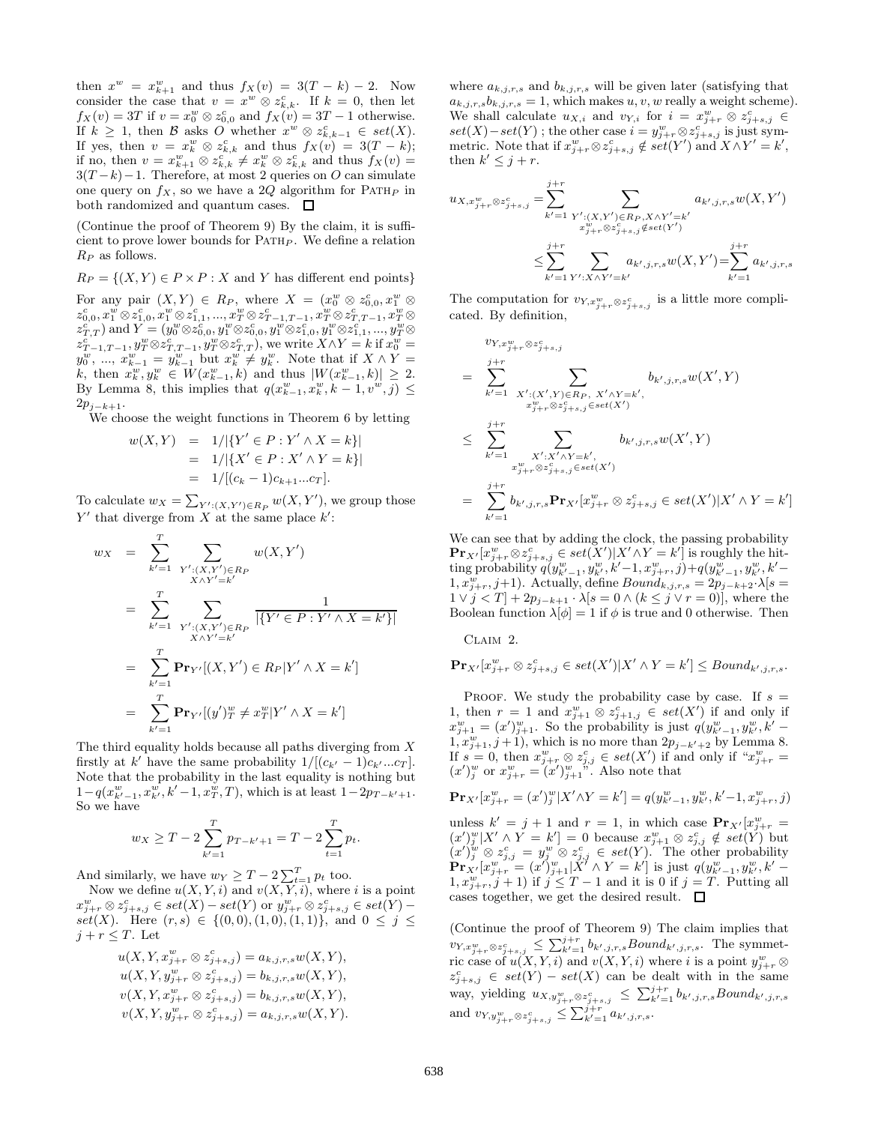then  $x^w = x_{k+1}^w$  and thus  $f_X(v) = 3(T - k) - 2$ . Now consider the case that  $v = x^w \otimes z^c_{k,k}$ . If  $k = 0$ , then let  $f_X(v) = 3T$  if  $v = x_0^w \otimes z_{0,0}^c$  and  $f_X(v) = 3T - 1$  otherwise. If  $k \geq 1$ , then B asks O whether  $x^w \otimes z_{k,k-1}^c \in set(X)$ . If yes, then  $v = x_k^w \otimes z_{k,k}^c$  and thus  $f_X(v) = 3(T - k);$ if no, then  $v = x_{k+1}^w \otimes z_{k,k}^{c^k} \neq x_k^w \otimes z_{k,k}^c$  and thus  $f_X(v) =$  $3(T-k)-1$ . Therefore, at most 2 queries on O can simulate one query on  $f_X$ , so we have a 2Q algorithm for PATH<sub>P</sub> in both randomized and quantum cases.  $\Box$ 

(Continue the proof of Theorem 9) By the claim, it is sufficient to prove lower bounds for  $\text{PATH}_P$ . We define a relation  $R_P$  as follows.

 $R_P = \{(X, Y) \in P \times P : X \text{ and } Y \text{ has different end points}\}\$ 

For any pair  $(X,Y) \in R_P$ , where  $X = (x_0^w \otimes z_{0,0}^c, x_1^w \otimes z_{0,0}^c)$  $z^c_{0,0}, x^w_1 \otimes z^c_{1,0}, x^w_1 \otimes z^c_{1,1}, ..., x^w_T \otimes z^c_{T-1,T-1}, x^w_T \otimes z^c_{T,T-1}, x^w_T \otimes z^c_{T,T-1}, x^w_T \otimes z^c_{T,T-1}$  $z_{T,T}^{c}$ ) and  $Y=(y_{0}^{w}\otimes z_{0,0}^{c},y_{1}^{w}\otimes z_{0,0}^{c},y_{1}^{w}\otimes z_{1,0}^{c},y_{1}^{w}\otimes z_{1,1}^{c},...,y_{T}^{w}\otimes z_{1,1}^{c})$  $x_{T-1,T-1}^c, y_T^w \otimes z_{T,T-1}^c, y_T^w \otimes z_{T,T}^c$ , we write  $X \wedge Y = k$  if  $x_0^w = y_0^w, ..., x_{k-1}^w = y_{k-1}^w$  but  $x_k^w \neq y_k^w$ . Note that if  $X \wedge Y = k$ , then  $x_k^w, y_k^w \in W(x_{k-1}^w, k)$  and thus  $|W(x_{k-1}^w, k)| \geq 2$ .<br>By Lemma 8, th  $2p_{i-k+1}$ .

We choose the weight functions in Theorem 6 by letting

$$
w(X,Y) = 1/|\{Y' \in P : Y' \land X = k\}|
$$
  
= 1/|\{X' \in P : X' \land Y = k\}|  
= 1/[(c\_k - 1)c\_{k+1}...c\_T].

To calculate  $w_X = \sum_{Y':(X,Y') \in R_P} w(X, Y')$ , we group those  $Y'$  that diverge from X at the same place  $k'$ :

$$
w_X = \sum_{k'=1}^T \sum_{Y': (X, Y') \in R_P} w(X, Y')
$$
  
= 
$$
\sum_{k'=1}^T \sum_{Y': (X, Y') \in R_P} \frac{1}{|\{Y' \in P : Y' \wedge X = k'\}|}
$$
  
= 
$$
\sum_{k'=1}^T \mathbf{Pr}_{Y'}[(X, Y') \in R_P | Y' \wedge X = k']
$$
  
= 
$$
\sum_{k'=1}^T \mathbf{Pr}_{Y'}[(y')_T^w \neq x_T^w | Y' \wedge X = k']
$$

The third equality holds because all paths diverging from  $X$ firstly at k' have the same probability  $1/[(c_{k'}-1)c_{k'...}c_T]$ . Note that the probability in the last equality is nothing but  $1-q(x_{k'-1}^w, x_{k'}^w, k'-1, x_T^w, T)$ , which is at least  $1-2p_{T-k'+1}$ . So we have

$$
w_X \geq T - 2 \sum_{k'=1}^{T} p_{T-k'+1} = T - 2 \sum_{t=1}^{T} p_t.
$$

And similarly, we have  $w_Y \geq T - 2 \sum_{t=1}^{T} p_t$  too.

Now we define  $u(X, Y, i)$  and  $v(X, Y, i)$ , where i is a point  $x_{j+r}^w\otimes z_{j+s,j}^c \in set(X)-set(Y) \text{ or } y_{j+r}^w\overset{\sim}{\otimes} z_{j+s,j}^c \in set(Y)-1$ set(X). Here  $(r, s) \in \{(0, 0), (1, 0), (1, 1)\},\$ and  $0 \leq j \leq$  $j + r \leq T$ . Let

$$
u(X, Y, x_{j+r}^w \otimes z_{j+s,j}^c) = a_{k,j,r,s} w(X, Y),
$$
  
\n
$$
u(X, Y, y_{j+r}^w \otimes z_{j+s,j}^c) = b_{k,j,r,s} w(X, Y),
$$
  
\n
$$
v(X, Y, x_{j+r}^w \otimes z_{j+s,j}^c) = b_{k,j,r,s} w(X, Y),
$$
  
\n
$$
v(X, Y, y_{j+r}^w \otimes z_{j+s,j}^c) = a_{k,j,r,s} w(X, Y).
$$

where  $a_{k,j,r,s}$  and  $b_{k,j,r,s}$  will be given later (satisfying that  $a_{k,j,r,s}b_{k,j,r,s} = 1$ , which makes  $u, v, w$  really a weight scheme). We shall calculate  $u_{X,i}$  and  $v_{Y,i}$  for  $i = x_{j+r}^w \otimes z_{j+s,j}^c \in$  $set(X) - set(Y)$ ; the other case  $i = y_{j+r}^w \otimes z_{j+s,j}^{c}$  is just symmetric. Note that if  $x_{j+r}^w \otimes z_{j+s,j}^c \notin set(Y')$  and  $X \wedge Y' = k'$ , then  $k' \leq j + r$ .

$$
u_{X,x_{j+r}^{w}\otimes z_{j+s,j}^{c}} = \sum_{k'=1}^{j+r} \sum_{\substack{Y': (X,Y') \in R_{P}, X \wedge Y'=k' \\ x_{j+r}^{w}\otimes z_{j+s,j}^{c} \notin set(Y')}} a_{k',j,r,s} w(X,Y')
$$
  

$$
\leq \sum_{k'=1}^{j+r} \sum_{Y': X \wedge Y'=k'} a_{k',j,r,s} w(X,Y') = \sum_{k'=1}^{j+r} a_{k',j,r,s}
$$

The computation for  $v_{Y,x_{j+r}^w \otimes z_{j+s,j}^c}$  is a little more complicated. By definition,

$$
\begin{aligned}\nv_{Y,x_{j+r}^w\otimes z_{j+s,j}^c} \\
&= \sum_{k'=1}^{j+r} \sum_{\substack{X': (X',Y)\in R_P, \ X'\wedge Y=k',\\ x_{j+r}^w\otimes z_{j+s,j}^c\in set(X')}} b_{k',j,r,s} w(X',Y) \\
&\leq \sum_{k'=1}^{j+r} \sum_{\substack{X': X'\wedge Y=k',\\ x_{j+r}^w\otimes z_{j+s,j}^c\in set(X')}} b_{k',j,r,s} w(X',Y) \\
&= \sum_{k'=1}^{j+r} b_{k',j,r,s} \mathbf{Pr}_{X'}[x_{j+r}^w\otimes z_{j+s,j}^c\in set(X')|X'\wedge Y=k']\n\end{aligned}
$$

We can see that by adding the clock, the passing probability  $\mathbf{Pr}_{X'}[x_{j+r}^w \otimes z_{j+s,j}^c \in set(X') | X' \wedge Y = k']$  is roughly the hitting probability  $q(y^{w}_{k'-1}, y^{w}_{k'}, k'-1, x^{w}_{j+r}, j) + q(y^{w}_{k'-1}, y^{w}_{k'}, k'-1)$  $1, x_{j+r}^w, j+1$ ). Actually, define  $Bound_{k,j,r,s} = 2p_{j-k+2} \cdot \lambda[s]$  $1 \vee j < T$  +  $2p_{j-k+1} \cdot \lambda [s = 0 \wedge (k \leq j \vee r = 0)],$  where the Boolean function  $\lambda[\phi] = 1$  if  $\phi$  is true and 0 otherwise. Then

Claim 2.

$$
\mathbf{Pr}_{X'}[x_{j+r}^w \otimes z_{j+s,j}^c \in set(X')]X' \wedge Y = k'] \leq Bound_{k',j,r,s}.
$$

PROOF. We study the probability case by case. If  $s =$ 1, then  $r = 1$  and  $x_{j+1}^w \otimes z_{j+1,j}^c \in set(X')$  if and only if  $x_{j+1}^w = (x')_{j+1}^w$ . So the probability is just  $q(y_{k'-1}^w, y_{k'}^w, k' 1, x_{j+1}^w, j+1$ , which is no more than  $2p_{j-k'+2}$  by Lemma 8. If  $s = 0$ , then  $x_{j+r}^w \otimes z_{j,j}^c \in set(X')$  if and only if " $x_{j+r}^w =$  $(x')_j^w$  or  $x_{j+r}^w = (x')_{j+1}^w$ . Also note that

$$
\mathbf{Pr}_{X'}[x_{j+r}^w = (x')_j^w | X' \wedge Y = k'] = q(y_{k'-1}^w, y_{k'}^w, k'-1, x_{j+r}^w, j)
$$

unless  $k' = j + 1$  and  $r = 1$ , in which case  $\mathbf{Pr}_{X'}[x_{j+r}^w]$  $(x')_j^w[X' \wedge Y = k'] = 0$  because  $x_{j+1}^w \otimes z_{j,j}^c \notin set(Y)$  but  $(x')_i^w \otimes z_{i,i}^c = y_i^w \otimes z_{i,i}^c \in set(Y)$ . The other probability  $\Pr_{X'}[x_{j+r}^w = (x')_{j+1}^w | X' \wedge Y = k']$  is just  $q(y_{k'-1}^w, y_{k'}^w, k' 1, x_{j+r}^w, j+1$  if  $j \leq T-1$  and it is 0 if  $j = T$ . Putting all cases together, we get the desired result.  $\Box$ 

(Continue the proof of Theorem 9) The claim implies that  $\sum_{k'=1}^{N} b_{k',j,r,s} Bound_{k',j,r,s}.$  The symmetric case of  $u(X, Y, i)$  and  $v(X, Y, i)$  where i is a point  $y_{j+r}^w \otimes$  $z_{j+s,j}^c \in set(Y) - set(X)$  can be dealt with in the same way, yielding  $u_{X,y_{j+r}^w \otimes z_{j+s,j}^c} \leq \sum_{k'=1}^{j+r} b_{k',j,r,s} Bound_{k',j,r,s}$ and  $v_{Y,y_{j+r}^w \otimes z_{j+s,j}^c} \leq \sum_{k'=1}^{j+r} a_{k',j,r,s}.$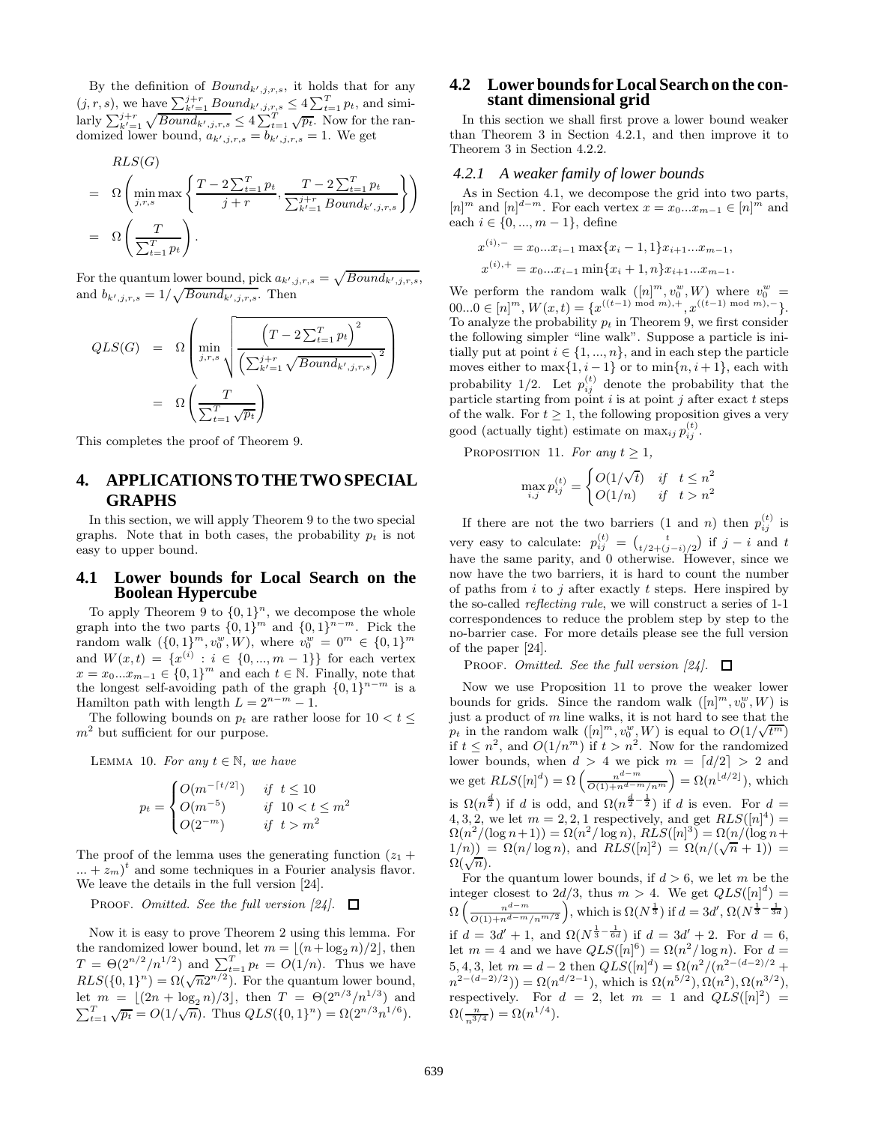By the definition of  $Bound_{k',j,r,s}$ , it holds that for any  $(j, r, s)$ , we have  $\sum_{k'=1}^{j+r} Bound_{k', j, r, s} \leq 4 \sum_{t=1}^{T} p_t$ , and similarly  $\sum_{k'=1}^{j+r} \sqrt{Bound_{k',j,r,s}} \leq 4 \sum_{t=1}^{T} \sqrt{pt}$ . Now for the randomized lower bound,  $a_{k',j,r,s} = b_{k',j,r,s} = 1$ . We get

$$
RLS(G)
$$
\n
$$
= \Omega\left(\min_{j,r,s} \max\left\{\frac{T-2\sum_{t=1}^{T} p_t}{j+r}, \frac{T-2\sum_{t=1}^{T} p_t}{\sum_{k'=1}^{j+r} Bound_{k',j,r,s}}\right\}\right)
$$
\n
$$
= \Omega\left(\frac{T}{\sum_{t=1}^{T} p_t}\right).
$$

For the quantum lower bound, pick  $a_{k',j,r,s} = \sqrt{Bound_{k',j,r,s}},$ and  $b_{k',j,r,s} = 1/\sqrt{Bound_{k',j,r,s}}$ . Then

$$
QLS(G) = \Omega \left( \min_{j,r,s} \sqrt{\frac{\left(T - 2 \sum_{t=1}^{T} p_t\right)^2}{\left(\sum_{k'=1}^{j+r} \sqrt{Bound_{k',j,r,s}}\right)^2}} \right)
$$

$$
= \Omega \left( \frac{T}{\sum_{t=1}^{T} \sqrt{p_t}} \right)
$$

This completes the proof of Theorem 9.

## **4. APPLICATIONS TO THE TWO SPECIAL GRAPHS**

In this section, we will apply Theorem 9 to the two special graphs. Note that in both cases, the probability  $p_t$  is not easy to upper bound.

### **4.1 Lower bounds for Local Search on the Boolean Hypercube**

To apply Theorem 9 to  $\{0,1\}^n$ , we decompose the whole graph into the two parts  $\{0, 1\}^m$  and  $\{0, 1\}^{\hat{n}-m}$ . Pick the random walk  $({0,1}^m, v_0^w, W)$ , where  $v_0^w = 0^m \in {0,1}^m$ and  $W(x,t) = \{x^{(i)} : i \in \{0, ..., m-1\}\}\)$  for each vertex  $x = x_0...x_{m-1} \in \{0,1\}^m$  and each  $t \in \mathbb{N}$ . Finally, note that the longest self-avoiding path of the graph  $\{0, 1\}^{n-m}$  is a Hamilton path with length  $L = 2^{n-m} - 1$ .

The following bounds on  $p_t$  are rather loose for  $10 < t \leq$  $m<sup>2</sup>$  but sufficient for our purpose.

LEMMA 10. For any  $t \in \mathbb{N}$ , we have

$$
p_t = \begin{cases} O(m^{-\lceil t/2 \rceil}) & \text{if } t \le 10\\ O(m^{-5}) & \text{if } 10 < t \le m^2\\ O(2^{-m}) & \text{if } t > m^2 \end{cases}
$$

The proof of the lemma uses the generating function  $(z_1 + z_2)$  $\dots + z_m$ <sup>t</sup> and some techniques in a Fourier analysis flavor. We leave the details in the full version [24].

PROOF. Omitted. See the full version  $[24]$ .  $\Box$ 

Now it is easy to prove Theorem 2 using this lemma. For the randomized lower bound, let  $m = \lfloor (n + \log_2 n)/2 \rfloor$ , then  $T = \Theta(2^{n/2}/n^{1/2})$  and  $\sum_{t=1}^{T} p_t = O(1/n)$ . Thus we have  $RLS(\{0, 1\}^n) = \Omega(\sqrt{n}2^{n/2})$ . For the quantum lower bound, let  $m = \lfloor (2n + \log_2 n)/3 \rfloor$ , then  $T = \Theta(2^{n/3}/n^{1/3})$  and  $\sum_{t=1}^{T} \sqrt{p_t} = O(1/\sqrt{n}).$  Thus  $QLS(\{0, 1\}^n) = \Omega(2^{n/3}n^{1/6}).$ 

## **4.2 Lower bounds for Local Search on the constant dimensional grid**

In this section we shall first prove a lower bound weaker than Theorem 3 in Section 4.2.1, and then improve it to Theorem 3 in Section 4.2.2.

#### *4.2.1 A weaker family of lower bounds*

As in Section 4.1, we decompose the grid into two parts,  $[n]^m$  and  $[n]^{d-m}$ . For each vertex  $x = x_0...x_{m-1} \in [n]^{\hat{m}}$  and each  $i \in \{0, ..., m-1\}$ , define

$$
x^{(i),-} = x_0...x_{i-1} \max\{x_i - 1, 1\}x_{i+1}...x_{m-1},
$$
  

$$
x^{(i),+} = x_0...x_{i-1} \min\{x_i + 1, n\}x_{i+1}...x_{m-1}.
$$

We perform the random walk  $([n]^m, v_0^w, W)$  where  $v_0^w =$  $00...0 \in [n]^m$ ,  $W(x,t) = \{x^{((t-1) \mod m), +}, x^{((t-1) \mod m), -}\}.$ To analyze the probability  $p_t$  in Theorem 9, we first consider the following simpler "line walk". Suppose a particle is initially put at point  $i \in \{1, ..., n\}$ , and in each step the particle moves either to  $\max\{1, i-1\}$  or to  $\min\{n, i+1\}$ , each with probability 1/2. Let  $p_{ij}^{(t)}$  denote the probability that the particle starting from point  $i$  is at point  $j$  after exact  $t$  steps of the walk. For  $t \geq 1$ , the following proposition gives a very good (actually tight) estimate on  $\max_{ij} p_{ij}^{(t)}$ .

PROPOSITION 11. For any  $t \geq 1$ ,

$$
\max_{i,j} p_{ij}^{(t)} = \begin{cases} O(1/\sqrt{t}) & \text{if } t \le n^2 \\ O(1/n) & \text{if } t > n^2 \end{cases}
$$

If there are not the two barriers (1 and *n*) then  $p_{ii}^{(t)}$  is very easy to calculate:  $p_{ij}^{(t)} = \begin{pmatrix} t \\ t/2 + (j-i)/2 \end{pmatrix}$  if  $j - i$  and t have the same parity, and 0 otherwise. However, since we now have the two barriers, it is hard to count the number of paths from  $i$  to  $j$  after exactly  $t$  steps. Here inspired by the so-called reflecting rule, we will construct a series of 1-1 correspondences to reduce the problem step by step to the no-barrier case. For more details please see the full version of the paper [24].

**PROOF.** Omitted. See the full version [24].  $\Box$ 

Now we use Proposition 11 to prove the weaker lower bounds for grids. Since the random walk  $([n]^m, v_0^w, W)$  is just a product of  $m$  line walks, it is not hard to see that the fust a product of m line walks, it is not hard to see that the  $p_t$  in the random walk  $([n]^m, v_0^w, W)$  is equal to  $O(1/\sqrt{t^m})$ if  $t \leq n^2$ , and  $O(1/n^m)$  if  $t > n^2$ . Now for the randomized lower bounds, when  $d > 4$  we pick  $m = \lfloor d/2 \rfloor > 2$  and we get  $RLS([n]^d) = \Omega\left(\frac{n^{d-m}}{O(1) + n^{d-m}/n^m}\right) = \Omega(n^{\lfloor d/2 \rfloor}),$  which is  $\Omega(n^{\frac{d}{2}})$  if d is odd, and  $\Omega(n^{\frac{d}{2}-\frac{1}{2}})$  if d is even. For  $d=$ 4, 3, 2, we let  $m = 2, 2, 1$  respectively, and get  $RLS([n]^4) =$  $\Omega(n^2/(\log n+1)) = \Omega(n^2/\log n), RLS([n]^3) = \Omega(n/(\log n+1))$  $1(n) = \Omega(n/\log n), \text{ and } RLS([n]^2) = \Omega(n/(\sqrt{n}+1)) = \Omega(n/(\log n), \text{ and } RLS([n]^2) = \Omega(n/(\sqrt{n}+1)) =$  $\Omega(\sqrt{n}).$ 

For the quantum lower bounds, if  $d > 6$ , we let m be the integer closest to  $2d/3$ , thus  $m > 4$ . We get  $QLS([n]^d) =$  $\Omega\left(\frac{n^{d-m}}{O(1)+n^{d-m}/n^{m/2}}\right)$ , which is  $\Omega(N^{\frac{1}{3}})$  if  $d=3d', \Omega(N^{\frac{1}{3}-\frac{1}{3d}})$ if  $d = 3d' + 1$ , and  $\Omega(N^{\frac{1}{3} - \frac{1}{6d}})$  if  $d = 3d' + 2$ . For  $d = 6$ , let  $m = 4$  and we have  $QLS([n]^6) = \Omega(n^2/\log n)$ . For  $d =$ 5, 4, 3, let  $m = d - 2$  then  $QLS([n]^d) = \Omega(n^2/(n^{2-(d-2)/2} +$  $n^{2-(d-2)/2}) = \Omega(n^{d/2-1}),$  which is  $\Omega(n^{5/2}), \Omega(n^2), \Omega(n^{3/2}),$ respectively. For  $d = 2$ , let  $m = 1$  and  $QLS([n]^2) =$  $\Omega(\frac{n}{n^{3/4}}) = \Omega(n^{1/4}).$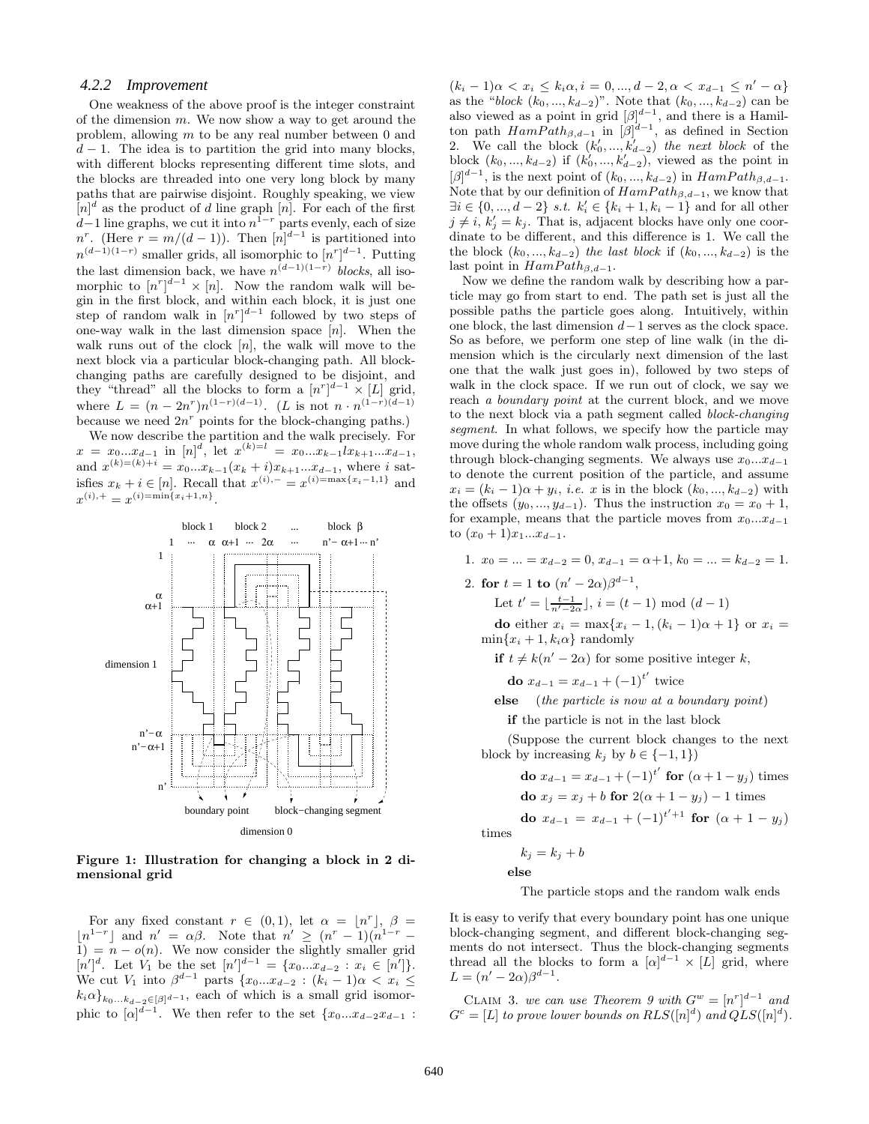#### *4.2.2 Improvement*

One weakness of the above proof is the integer constraint of the dimension  $m$ . We now show a way to get around the problem, allowing m to be any real number between 0 and  $d-1$ . The idea is to partition the grid into many blocks, with different blocks representing different time slots, and the blocks are threaded into one very long block by many paths that are pairwise disjoint. Roughly speaking, we view  $[n]^d$  as the product of d line graph  $[n]$ . For each of the first  $d-1$  line graphs, we cut it into  $n^{1-r}$  parts evenly, each of size  $n^r$ . (Here  $r = m/(d-1)$ ). Then  $[n]^{d-1}$  is partitioned into  $n^{(d-1)(1-r)}$  smaller grids, all isomorphic to  $[n^r]^{d-1}$ . Putting the last dimension back, we have  $n^{(d-1)(1-r)}$  blocks, all isomorphic to  $[n^r]^{d-1} \times [n]$ . Now the random walk will begin in the first block, and within each block, it is just one step of random walk in  $[n^r]^{d-1}$  followed by two steps of one-way walk in the last dimension space  $[n]$ . When the walk runs out of the clock  $[n]$ , the walk will move to the next block via a particular block-changing path. All blockchanging paths are carefully designed to be disjoint, and they "thread" all the blocks to form a  $[n^r]^{d-1} \times [L]$  grid, where  $L = (n - 2n^r)n^{(1-r)(d-1)}$ . (L is not  $n \cdot n^{(1-r)(d-1)}$ because we need  $2n^r$  points for the block-changing paths.)

We now describe the partition and the walk precisely. For  $x = x_0...x_{d-1}$  in  $[n]^d$ , let  $x^{(k)=l} = x_0...x_{k-1}x_{k+1}...x_{d-1}$ , and  $x^{(k)=(k)+i} = x_0...x_{k-1}(x_k+i)x_{k+1}...x_{d-1}$ , where i satisfies  $x_k + i \in [n]$ . Recall that  $x^{(i),-} = x^{(i) = \max\{x_i - 1,1\}}$  and  $x^{(i),+} = x^{(i) = \min\{x_i+1,n\}}.$ 



**Figure 1: Illustration for changing a block in 2 dimensional grid**

For any fixed constant  $r \in (0,1)$ , let  $\alpha = \lfloor n^r \rfloor$ ,  $\beta =$  $\lfloor n^{1-r} \rfloor$  and  $n' = \alpha \beta$ . Note that  $n' \geq (n^r - 1)(n^{1-r} - 1)$  $1) = n - o(n)$ . We now consider the slightly smaller grid  $[n']^d$ . Let  $V_1$  be the set  $[n']^{d-1} = \{x_0...x_{d-2} : x_i \in [n']\}.$ We cut  $V_1$  into  $\beta^{d-1}$  parts  $\{x_0...x_{d-2} : (k_i-1)\alpha < x_i \leq$  $k_i \alpha_{k_0...k_{d-2} \in [\beta]^{d-1}}$ , each of which is a small grid isomorphic to  $[\alpha]^{d-1}$ . We then refer to the set  $\{x_0...x_{d-2}x_{d-1}$ :

 $(k_i - 1)\alpha < x_i \leq k_i \alpha, i = 0, ..., d - 2, \alpha < x_{d-1} \leq n' - \alpha\}$ as the "block  $(k_0, ..., k_{d-2})$ ". Note that  $(k_0, ..., k_{d-2})$  can be also viewed as a point in grid  $[\beta]^{d-1}$ , and there is a Hamilton path  $HamPath_{\beta,d-1}$  in  $[\beta]^{d-1}$ , as defined in Section 2. We call the block  $(k'_0, ..., k'_{d-2})$  the next block of the block  $(k_0, ..., k_{d-2})$  if  $(k'_0, ..., k'_{d-2})$ , viewed as the point in  $[\beta]^{d-1}$ , is the next point of  $(k_0, ..., k_{d-2})$  in  $HamPath_{\beta, d-1}$ . Note that by our definition of  $HamPath_{\beta,d-1}$ , we know that  $\exists i \in \{0, ..., d-2\} \; s.t. \; k'_i \in \{k_i + 1, k_i - 1\} \; \text{and for all other}$  $j \neq i, k'_j = k_j$ . That is, adjacent blocks have only one coordinate to be different, and this difference is 1. We call the the block  $(k_0, ..., k_{d-2})$  the last block if  $(k_0, ..., k_{d-2})$  is the last point in  $HamPath_{\beta,d-1}$ .

Now we define the random walk by describing how a particle may go from start to end. The path set is just all the possible paths the particle goes along. Intuitively, within one block, the last dimension  $d-1$  serves as the clock space. So as before, we perform one step of line walk (in the dimension which is the circularly next dimension of the last one that the walk just goes in), followed by two steps of walk in the clock space. If we run out of clock, we say we reach a boundary point at the current block, and we move to the next block via a path segment called block-changing segment. In what follows, we specify how the particle may move during the whole random walk process, including going through block-changing segments. We always use  $x_0...x_{d-1}$ to denote the current position of the particle, and assume  $x_i = (k_i - 1)\alpha + y_i$ , *i.e.* x is in the block  $(k_0, ..., k_{d-2})$  with the offsets  $(y_0, ..., y_{d-1})$ . Thus the instruction  $x_0 = x_0 + 1$ , for example, means that the particle moves from  $x_0...x_{d-1}$ to  $(x_0+1)x_1...x_{d-1}$ .

1. 
$$
x_0 = \ldots = x_{d-2} = 0, x_{d-1} = \alpha + 1, k_0 = \ldots = k_{d-2} = 1.
$$

2. **for**  $t = 1$  **to**  $(n' - 2\alpha)\beta^{d-1}$ ,

Let  $t' = \lfloor \frac{t-1}{n'-2\alpha} \rfloor$ ,  $i = (t-1) \mod (d-1)$ 

**do** either  $x_i = \max\{x_i - 1, (k_i - 1)\alpha + 1\}$  or  $x_i =$  $\min\{x_i + 1, k_i\alpha\}$  randomly

**if**  $t \neq k(n' - 2\alpha)$  for some positive integer k,

**do**  $x_{d-1} = x_{d-1} + (-1)^{t'}$  twice

**else** (the particle is now at a boundary point)

**if** the particle is not in the last block

(Suppose the current block changes to the next block by increasing  $k_j$  by  $b \in \{-1, 1\}$ )

**do** 
$$
x_{d-1} = x_{d-1} + (-1)^{t'}
$$
 **for**  $(\alpha + 1 - y_j)$  times  
**do**  $x_j = x_j + b$  **for**  $2(\alpha + 1 - y_j) - 1$  times

**do** 
$$
x_{d-1} = x_{d-1} + (-1)^{t'+1}
$$
 **for**  $(\alpha + 1 - y_j)$   
times

 $k_j = k_j + b$ 

**else**

The particle stops and the random walk ends

It is easy to verify that every boundary point has one unique block-changing segment, and different block-changing segments do not intersect. Thus the block-changing segments thread all the blocks to form a  $[\alpha]^{d-1} \times [L]$  grid, where  $L = (n' - 2\alpha)\beta^{d-1}.$ 

CLAIM 3. we can use Theorem 9 with  $G^w = [n^r]^{d-1}$  and  $G^c = [L]$  to prove lower bounds on  $RLS([n]^d)$  and  $QLS([n]^d)$ .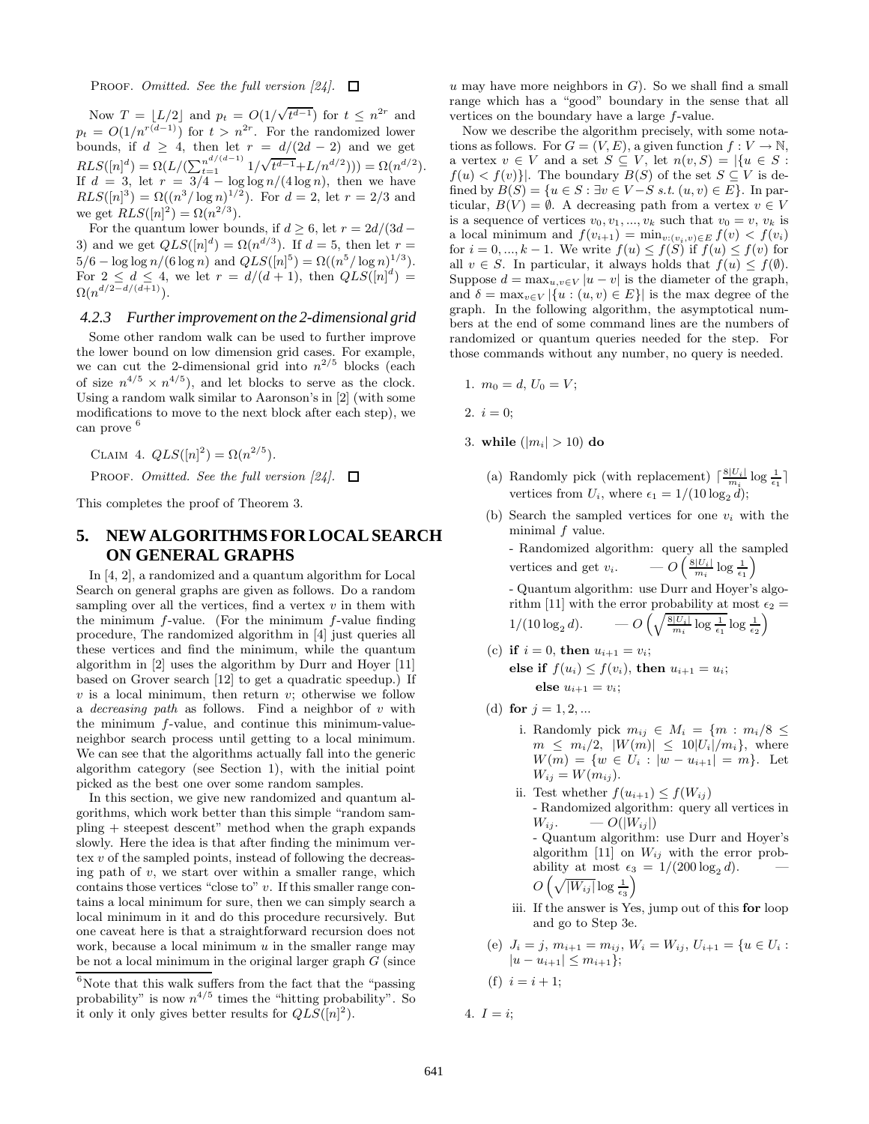PROOF. Omitted. See the full version  $[24]$ .  $\Box$ 

Now  $T = |L/2|$  and  $p_t = O(1/\sqrt{t^{d-1}})$  for  $t \leq n^{2r}$  and  $p_t = O(1/n^{r(d-1)})$  for  $t > n^{2r}$ . For the randomized lower bounds, if  $d \geq 4$ , then let  $r = d/(2d - 2)$  and we get  $RLS([n]^d) = \Omega(L/(\sum_{t=1}^{n^{d/(d-1)}} 1/\sqrt{t^{d-1}}+L/n^{d/2}))) = \Omega(n^{d/2}).$ If  $d = 3$ , let  $r = 3/4 - \log \log n/(4 \log n)$ , then we have  $RLS([n]^3) = \Omega((n^3/\log n)^{1/2})$ . For  $d = 2$ , let  $r = 2/3$  and we get  $RLS([n]^2) = \Omega(n^{2/3})$ .

For the quantum lower bounds, if  $d \geq 6$ , let  $r = 2d/(3d -$ 3) and we get  $QLS([n]^d) = \Omega(n^{d/3})$ . If  $d = 5$ , then let  $r =$  $5/6 - \log \log n / (6 \log n)$  and  $QLS([n]^5) = \Omega((n^5/\log n)^{1/3})$ . For  $2 \le d \le 4$ , we let  $r = d/(d+1)$ , then  $QLS([n]^d) =$  $\Omega(n^{d/2-d/(d+1)})$ .

#### *4.2.3 Further improvement on the 2-dimensional grid*

Some other random walk can be used to further improve the lower bound on low dimension grid cases. For example, we can cut the 2-dimensional grid into  $n^{2/5}$  blocks (each of size  $n^{4/5} \times n^{4/5}$ , and let blocks to serve as the clock. Using a random walk similar to Aaronson's in [2] (with some modifications to move to the next block after each step), we can prove <sup>6</sup>

CLAIM 4.  $QLS([n]^2) = \Omega(n^{2/5}).$ 

PROOF. Omitted. See the full version  $[24]$ .  $\Box$ 

This completes the proof of Theorem 3.

## **5. NEW ALGORITHMS FOR LOCAL SEARCH ON GENERAL GRAPHS**

In [4, 2], a randomized and a quantum algorithm for Local Search on general graphs are given as follows. Do a random sampling over all the vertices, find a vertex  $v$  in them with the minimum  $f$ -value. (For the minimum  $f$ -value finding procedure, The randomized algorithm in [4] just queries all these vertices and find the minimum, while the quantum algorithm in [2] uses the algorithm by Durr and Hoyer [11] based on Grover search [12] to get a quadratic speedup.) If  $v$  is a local minimum, then return  $v$ ; otherwise we follow a *decreasing path* as follows. Find a neighbor of  $v$  with the minimum f-value, and continue this minimum-valueneighbor search process until getting to a local minimum. We can see that the algorithms actually fall into the generic algorithm category (see Section 1), with the initial point picked as the best one over some random samples.

In this section, we give new randomized and quantum algorithms, which work better than this simple "random sampling + steepest descent" method when the graph expands slowly. Here the idea is that after finding the minimum vertex  $v$  of the sampled points, instead of following the decreasing path of  $v$ , we start over within a smaller range, which contains those vertices "close to"  $v$ . If this smaller range contains a local minimum for sure, then we can simply search a local minimum in it and do this procedure recursively. But one caveat here is that a straightforward recursion does not work, because a local minimum  $u$  in the smaller range may be not a local minimum in the original larger graph  $G$  (since

u may have more neighbors in  $G$ ). So we shall find a small range which has a "good" boundary in the sense that all vertices on the boundary have a large f-value.

Now we describe the algorithm precisely, with some notations as follows. For  $G = (V, E)$ , a given function  $f: V \to \mathbb{N}$ , a vertex  $v \in V$  and a set  $S \subseteq V$ , let  $n(v, S) = |\{u \in S :$  $f(u) < f(v)$ . The boundary  $B(S)$  of the set  $S \subseteq V$  is defined by  $B(S) = \{u \in S : \exists v \in V - S \ s.t. \ (u, v) \in E\}$ . In particular,  $B(V) = \emptyset$ . A decreasing path from a vertex  $v \in V$ is a sequence of vertices  $v_0, v_1, ..., v_k$  such that  $v_0 = v, v_k$  is a local minimum and  $f(v_{i+1}) = \min_{v:(v_i,v) \in E} f(v) < f(v_i)$ for  $i = 0, ..., k - 1$ . We write  $f(u) \leq f(S)$  if  $f(u) \leq f(v)$  for all  $v \in S$ . In particular, it always holds that  $f(u) \leq f(\emptyset)$ . Suppose  $d = \max_{u,v \in V} |u - v|$  is the diameter of the graph, and  $\delta = \max_{v \in V} |\{u : (u, v) \in E\}|$  is the max degree of the graph. In the following algorithm, the asymptotical numbers at the end of some command lines are the numbers of randomized or quantum queries needed for the step. For those commands without any number, no query is needed.

- 1.  $m_0 = d, U_0 = V$ ;
- 2.  $i = 0$ :
- 3. **while**  $(|m_i| > 10)$  do
	- (a) Randomly pick (with replacement)  $\lceil \frac{8|U_i|}{m_i} \log \frac{1}{\epsilon_1} \rceil$ vertices from  $U_i$ , where  $\epsilon_1 = 1/(10 \log_2 d);$
	- (b) Search the sampled vertices for one  $v_i$  with the minimal  $f$  value.

- Randomized algorithm: query all the sampled vertices and get  $v_i$ .  $- O\left(\frac{8|U_i|}{m_i}\log\frac{1}{\epsilon_1}\right)$ 

- Quantum algorithm: use Durr and Hoyer's algorithm [11] with the error probability at most  $\epsilon_2 =$  $1/(10\log_2 d). \quad\quad -O\left(\sqrt{\frac{8|U_i|}{m_i}\log \frac{1}{\epsilon_1}}\log \frac{1}{\epsilon_2}\right)$ 

- (c) **if**  $i = 0$ , **then**  $u_{i+1} = v_i$ ; **else if**  $f(u_i) \leq f(v_i)$ , **then**  $u_{i+1} = u_i$ ; **else**  $u_{i+1} = v_i$ ;
- (d) **for**  $j = 1, 2, ...$ 
	- i. Randomly pick  $m_{ij} \in M_i = \{m : m_i/8 \leq$  $m \leq m_i/2, |W(m)| \leq 10|U_i|/m_i$ , where  $W(m) = \{w \in U_i : |w - u_{i+1}| = m\}.$  Let  $W_{ij} = W(m_{ij}).$
	- ii. Test whether  $f(u_{i+1}) \leq f(W_{ij})$ - Randomized algorithm: query all vertices in  $W_{ii}$ .  $- O(|W_{ii}|)$ - Quantum algorithm: use Durr and Hoyer's algorithm [11] on  $W_{ij}$  with the error probability at most  $\epsilon_3 = 1/(200 \log_2 d)$ .  $O\left(\sqrt{|W_{ij}|}\log\frac{1}{\epsilon_3}\right)$
	- iii. If the answer is Yes, jump out of this **for** loop and go to Step 3e.
- (e)  $J_i = j, m_{i+1} = m_{ij}, W_i = W_{ij}, U_{i+1} = \{u \in U_i :$  $|u - u_{i+1}| \leq m_{i+1}$ ;
- (f)  $i = i + 1$ ;
- 4.  $I = i$ ;

 $^6\rm{Note}$  that this walk suffers from the fact that the "passing probability" is now  $n^{4/5}$  times the "hitting probability". So it only it only gives better results for  $QLS([n]^2)$ .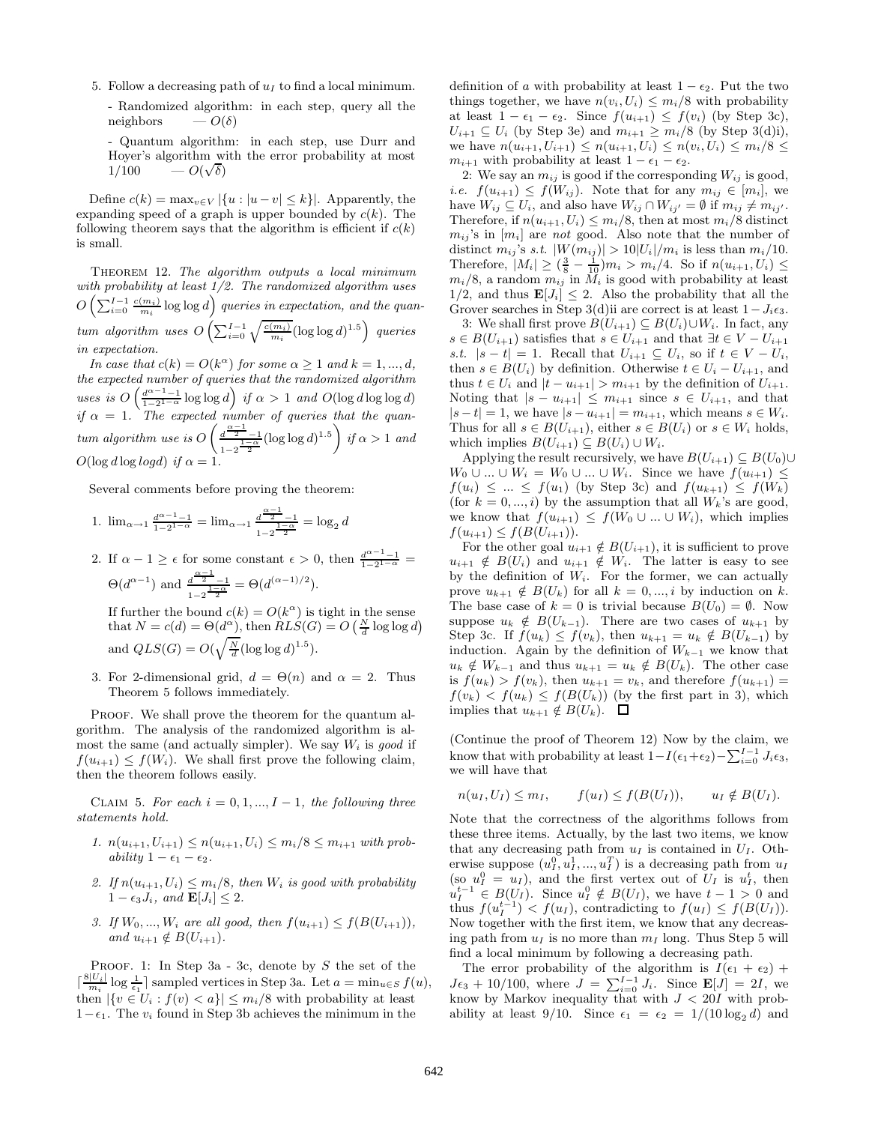- 5. Follow a decreasing path of  $u_I$  to find a local minimum.
	- Randomized algorithm: in each step, query all the neighbors  $-O(\delta)$

- Quantum algorithm: in each step, use Durr and Hoyer's algorithm with the error probability at most  $1/100$  $\sim O(\sqrt{\delta})$ 

Define  $c(k) = \max_{v \in V} |\{u : |u - v| \leq k\}|$ . Apparently, the expanding speed of a graph is upper bounded by  $c(k)$ . The following theorem says that the algorithm is efficient if  $c(k)$ is small.

Theorem 12. The algorithm outputs a local minimum with probability at least  $1/2$ . The randomized algorithm uses  $O\left(\sum_{i=0}^{I-1}\frac{c(m_i)}{m_i}\log\log d\right)$  queries in expectation, and the quantum algorithm uses  $O\left(\sum_{i=0}^{I-1}\sqrt{\frac{c(m_i)}{m_i}}(\log \log d)^{1.5}\right)$  queries in expectation.

In case that  $c(k) = O(k^{\alpha})$  for some  $\alpha \geq 1$  and  $k = 1, ..., d$ , the expected number of queries that the randomized algorithm uses is  $O\left(\frac{d^{\alpha-1}-1}{1-2^{1-\alpha}}\log\log d\right)$  if  $\alpha > 1$  and  $O(\log d \log \log d)$ if  $\alpha = 1$ . The expected number of queries that the quantum algorithm use is  $O\left(\frac{d^{\frac{\alpha-1}{2}}-1}{1-\alpha}\right)$  $\frac{d^{\frac{\alpha-1}{2}}-1}{1-2^{\frac{1-\alpha}{2}}}(\log \log d)^{1.5}\right)$  if  $\alpha > 1$  and  $O(\log d \log log d)$  if  $\alpha = 1$ .

Several comments before proving the theorem:

1. 
$$
\lim_{\alpha \to 1} \frac{d^{\alpha-1}-1}{1-2^{1-\alpha}} = \lim_{\alpha \to 1} \frac{d^{\frac{\alpha-1}{2}}-1}{1-2^{\frac{1-\alpha}{2}}} = \log_2 d
$$

- 2. If  $\alpha 1 \geq \epsilon$  for some constant  $\epsilon > 0$ , then  $\frac{d^{\alpha-1}-1}{1-2^{1-\alpha}} =$  $\Theta(d^{\alpha-1})$  and  $\frac{d^{\frac{\alpha-1}{2}}-1}{1-\alpha}$  $\frac{d^{\frac{2}{2}}-1}{1-2^{\frac{1-\alpha}{2}}} = \Theta(d^{(\alpha-1)/2}).$ If further the bound  $c(k) = O(k^{\alpha})$  is tight in the sense that  $N = c(d) = \Theta(d^{\alpha})$ , then  $RLS(G) = O\left(\frac{N}{d} \log \log d\right)$ and  $QLS(G) = O(\sqrt{\frac{N}{d}}(\log \log d)^{1.5}).$
- 3. For 2-dimensional grid,  $d = \Theta(n)$  and  $\alpha = 2$ . Thus Theorem 5 follows immediately.

PROOF. We shall prove the theorem for the quantum algorithm. The analysis of the randomized algorithm is almost the same (and actually simpler). We say  $W_i$  is good if  $f(u_{i+1}) \leq f(W_i)$ . We shall first prove the following claim, then the theorem follows easily.

CLAIM 5. For each  $i = 0, 1, ..., I - 1$ , the following three statements hold.

- 1.  $n(u_{i+1}, U_{i+1}) \leq n(u_{i+1}, U_i) \leq m_i/8 \leq m_{i+1}$  with probability  $1 - \epsilon_1 - \epsilon_2$ .
- 2. If  $n(u_{i+1}, U_i) \leq m_i/8$ , then  $W_i$  is good with probability  $1 - \epsilon_3 J_i$ , and  $\mathbf{E}[J_i] \leq 2$ .
- 3. If  $W_0, ..., W_i$  are all good, then  $f(u_{i+1}) \leq f(B(U_{i+1}))$ , and  $u_{i+1} \notin B(U_{i+1})$ .

PROOF. 1: In Step 3a - 3c, denote by  $S$  the set of the  $\lceil \frac{8|U_i|}{m_i} \log \frac{1}{\epsilon_1} \rceil$  sampled vertices in Step 3a. Let  $a = \min_{u \in S} f(u)$ , then  $|\{v \in U_i : f(v) < a\}| \leq m_i/8$  with probability at least 1− $ε$ <sub>1</sub>. The  $v_i$  found in Step 3b achieves the minimum in the

definition of a with probability at least  $1 - \epsilon_2$ . Put the two things together, we have  $n(v_i, U_i) \leq m_i/8$  with probability at least  $1 - \epsilon_1 - \epsilon_2$ . Since  $f(u_{i+1}) \leq f(v_i)$  (by Step 3c),  $U_{i+1} \subseteq U_i$  (by Step 3e) and  $m_{i+1} \geq m_i/8$  (by Step 3(d)i), we have  $n(u_{i+1}, U_{i+1}) \leq n(u_{i+1}, U_i) \leq n(v_i, U_i) \leq m_i/8 \leq$  $m_{i+1}$  with probability at least  $1 - \epsilon_1 - \epsilon_2$ .

2: We say an  $m_{ij}$  is good if the corresponding  $W_{ij}$  is good, *i.e.*  $f(u_{i+1}) \leq f(W_{ij})$ . Note that for any  $m_{ij} \in [m_i]$ , we have  $W_{ij} \subseteq U_i$ , and also have  $W_{ij} \cap W_{ij'} = \emptyset$  if  $m_{ij} \neq m_{ij'}$ . Therefore, if  $n(u_{i+1}, U_i) \leq m_i/8$ , then at most  $m_i/8$  distinct  $m_{ij}$ 's in  $[m_i]$  are not good. Also note that the number of distinct  $m_{ij}$ 's s.t.  $|W(m_{ij})| > 10|U_i|/m_i$  is less than  $m_i/10$ . Therefore,  $|M_i| \geq (\frac{3}{8} - \frac{1}{10})m_i > m_i/4$ . So if  $n(u_{i+1}, U_i) \leq$  $m_i/8$ , a random  $m_{ij}$  in  $M_i$  is good with probability at least  $1/2$ , and thus  $\mathbf{E}[J_i] \leq 2$ . Also the probability that all the Grover searches in Step 3(d)ii are correct is at least  $1-J_i\epsilon_3$ .

3: We shall first prove  $B(U_{i+1}) \subseteq B(U_i) \cup W_i$ . In fact, any  $s \in B(U_{i+1})$  satisfies that  $s \in U_{i+1}$  and that  $\exists t \in V - U_{i+1}$ s.t.  $|s-t|=1$ . Recall that  $U_{i+1} \subseteq U_i$ , so if  $t \in V-U_i$ , then  $s \in B(U_i)$  by definition. Otherwise  $t \in U_i - U_{i+1}$ , and thus  $t \in U_i$  and  $|t - u_{i+1}| > m_{i+1}$  by the definition of  $U_{i+1}$ . Noting that  $|s - u_{i+1}| \leq m_{i+1}$  since  $s \in U_{i+1}$ , and that  $|s-t| = 1$ , we have  $|s - u_{i+1}| = m_{i+1}$ , which means  $s \in W_i$ . Thus for all  $s \in B(U_{i+1})$ , either  $s \in B(U_i)$  or  $s \in W_i$  holds, which implies  $B(U_{i+1}) \subseteq B(U_i) \cup W_i$ .

Applying the result recursively, we have  $B(U_{i+1}) \subseteq B(U_0) \cup$  $W_0 \cup ... \cup W_i = W_0 \cup ... \cup W_i$ . Since we have  $f(u_{i+1}) \leq$  $f(u_i) \leq ... \leq f(u_1)$  (by Step 3c) and  $f(u_{k+1}) \leq f(W_k)$ (for  $k = 0, ..., i$ ) by the assumption that all  $W_k$ 's are good, we know that  $f(u_{i+1}) \leq f(W_0 \cup ... \cup W_i)$ , which implies  $f(u_{i+1}) \leq f(B(U_{i+1})).$ 

For the other goal  $u_{i+1} \notin B(U_{i+1}),$  it is sufficient to prove  $u_{i+1} \notin B(U_i)$  and  $u_{i+1} \notin W_i$ . The latter is easy to see by the definition of  $W_i$ . For the former, we can actually prove  $u_{k+1} \notin B(U_k)$  for all  $k = 0, ..., i$  by induction on k. The base case of  $k = 0$  is trivial because  $B(U_0) = \emptyset$ . Now suppose  $u_k \notin B(U_{k-1})$ . There are two cases of  $u_{k+1}$  by Step 3c. If  $\hat{f}(u_k) \leq f(v_k)$ , then  $u_{k+1} = u_k \notin B(U_{k-1})$  by induction. Again by the definition of  $W_{k-1}$  we know that  $u_k \notin W_{k-1}$  and thus  $u_{k+1} = u_k \notin B(U_k)$ . The other case is  $f(u_k) > f(v_k)$ , then  $u_{k+1} = v_k$ , and therefore  $f(u_{k+1}) =$  $f(v_k) < f(u_k) \leq f(B(U_k))$  (by the first part in 3), which implies that  $u_{k+1} \notin B(U_k)$ .  $\Box$ 

(Continue the proof of Theorem 12) Now by the claim, we know that with probability at least  $1-I(\epsilon_1+\epsilon_2)-\sum_{i=0}^{I-1} J_i \epsilon_3$ , we will have that

$$
n(u_I, U_I) \leq m_I, \qquad f(u_I) \leq f(B(U_I)), \qquad u_I \notin B(U_I).
$$

Note that the correctness of the algorithms follows from these three items. Actually, by the last two items, we know that any decreasing path from  $u_I$  is contained in  $U_I$ . Otherwise suppose  $(u_1^0, u_1^1, ..., u_I^T)$  is a decreasing path from  $u_I$ (so  $u_I^0 = u_I$ ), and the first vertex out of  $U_I$  is  $u_I^t$ , then  $u_I^{t-1} \in B(U_I)$ . Since  $u_I^0 \notin B(U_I)$ , we have  $t-1 > 0$  and thus  $f(u_I^{t-1}) < f(u_I)$ , contradicting to  $f(u_I) \leq f(B(U_I))$ . Now together with the first item, we know that any decreasing path from  $u_I$  is no more than  $m_I$  long. Thus Step 5 will find a local minimum by following a decreasing path.

The error probability of the algorithm is  $I(\epsilon_1 + \epsilon_2)$  +  $J\epsilon_3 + 10/100$ , where  $J = \sum_{i=0}^{I-1} J_i$ . Since  $\mathbf{E}[J] = 2I$ , we know by Markov inequality that with  $J < 20I$  with probability at least 9/10. Since  $\epsilon_1 = \epsilon_2 = 1/(10 \log_2 d)$  and